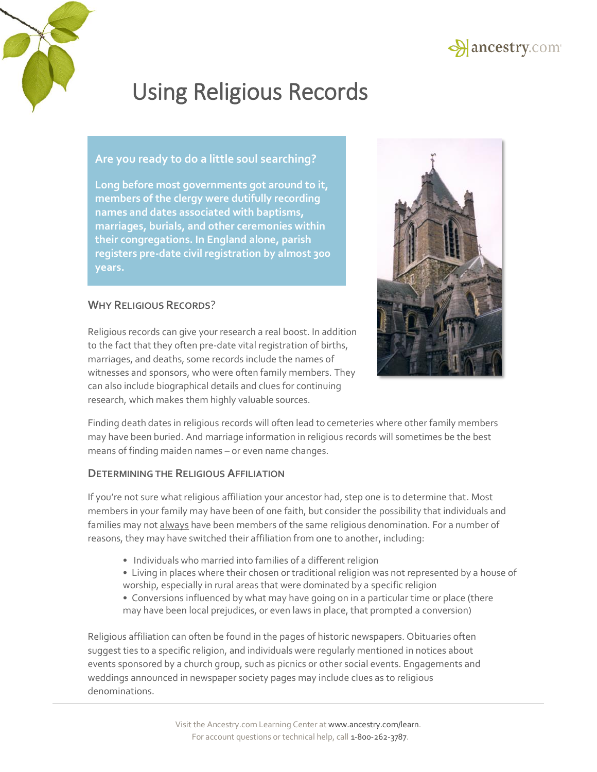

# **Are you ready to do a little soul searching?**

**Long before most governments got around to it, members of the clergy were dutifully recording names and dates associated with baptisms, marriages, burials, and other ceremonies within their congregations. In England alone, parish registers pre-date civil registration by almost 300 years.**

# **WHY RELIGIOUS RECORDS**?

Religious records can give your research a real boost. In addition to the fact that they often pre-date vital registration of births, marriages, and deaths, some records include the names of witnesses and sponsors, who were often family members. They can also include biographical details and clues for continuing research, which makes them highly valuable sources.



Finding death dates in religious records will often lead to cemeteries where other family members may have been buried. And marriage information in religious records will sometimes be the best means of finding maiden names – or even name changes.

### **DETERMINING THE RELIGIOUS AFFILIATION**

If you're not sure what religious affiliation your ancestor had, step one is to determine that. Most members in your family may have been of one faith, but consider the possibility that individuals and families may not always have been members of the same religious denomination. For a number of reasons, they may have switched their affiliation from one to another, including:

- Individuals who married into families of a different religion
- Living in places where their chosen or traditional religion was not represented by a house of worship, especially in rural areas that were dominated by a specific religion
- Conversions influenced by what may have going on in a particular time or place (there may have been local prejudices, or even laws in place, that prompted a conversion)

Religious affiliation can often be found in the pages of historic newspapers. Obituaries often suggest ties to a specific religion, and individuals were regularly mentioned in notices about events sponsored by a church group, such as picnics or other social events. Engagements and weddings announced in newspaper society pages may include clues as to religious denominations.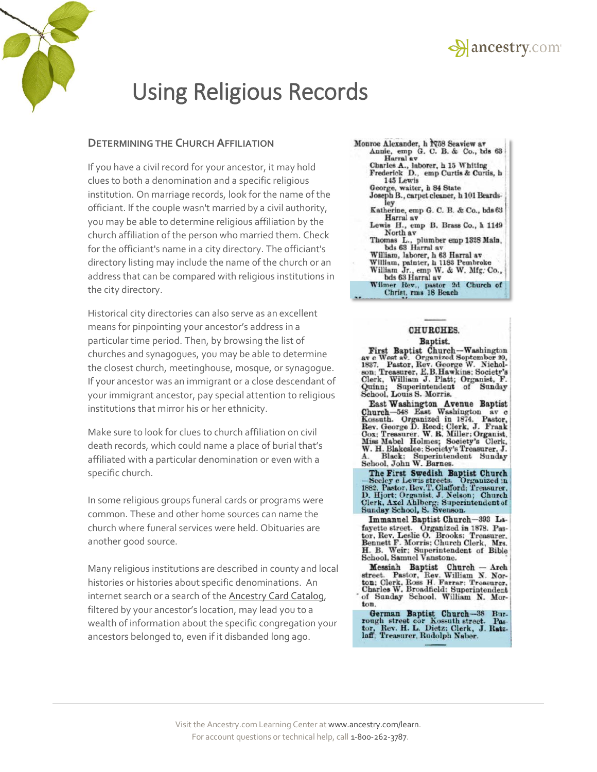



### **DETERMINING THE CHURCH AFFILIATION**

If you have a civil record for your ancestor, it may hold clues to both a denomination and a specific religious institution. On marriage records, look for the name of the officiant. If the couple wasn't married by a civil authority, you may be able to determine religious affiliation by the church affiliation of the person who married them. Check for the officiant's name in a city directory. The officiant's directory listing may include the name of the church or an address that can be compared with religious institutions in the city directory.

Historical city directories can also serve as an excellent means for pinpointing your ancestor's address in a particular time period. Then, by browsing the list of churches and synagogues, you may be able to determine the closest church, meetinghouse, mosque, or synagogue. If your ancestor was an immigrant or a close descendant of your immigrant ancestor, pay special attention to religious institutions that mirror his or her ethnicity.

Make sure to look for clues to church affiliation on civil death records, which could name a place of burial that's affiliated with a particular denomination or even with a specific church.

In some religious groups funeral cards or programs were common. These and other home sources can name the church where funeral services were held. Obituaries are another good source.

Many religious institutions are described in county and local histories or histories about specific denominations. An internet search or a search of th[e Ancestry Card Catalog,](http://search.ancestry.com/search/cardcatalog.aspx) filtered by your ancestor's location, may lead you to a wealth of information about the specific congregation your ancestors belonged to, even if it disbanded long ago.

#### Monroe Alexander, h 1958 Seaview av Annie, emp G. C. B. & Co., bds 63 Harral av Charles A., laborer, h 15 Whiting<br>Frederick D., emp Curtis & Curtis, h 145 Lewis George, waiter, h 84 State<br>Joseph B., carpet cleaner, h 101 Beardsley Katherine, emp G. C. B. & Co., bds 63 Harral av Lewis H., emp B. Brass Co., h 1149 North av Thomas L., plumber emp 1328 Main,<br>bds 63 Harral av William, laborer, h 63 Harral av<br>William, painter, h 1183 Pembroke<br>William Jr., emp W. & W. Mfg. Co., bds 63 Harral av Wilmer Rev., pastor 2d Church of Christ, rms 18 Beach

#### **CHURCHES.** Baptist.

Exercise Baptist.<br>
ave West av. Organized September 20,<br>
1837. Pastor, Rev. George W. Nicholson; Treasurer, E.B. Hawkins; Society's<br>
Clerk, William J. Platt; Organist, F.<br>
Clerk, William J. Platt; Organist, F. Clerk, William J. Platt; Organist, F.<br>Quinn; Superintendent of Sunday<br>School, Louis S. Morris.

East Washington Avenue Baptist<br>Church-548 East Washington av c<br>Kossuth. Organized in 1874. Pastor,<br>Rev. George D. Reed; Clerk, J. Frank<br>Miss Mabel Holmes; Society's Clerk,<br>W. H. Blakeslee: Society's Treasurer, J. M. H. Black; Superintendent Sunday<br>School, John W. Barnes.

The First Swedish Baptist Church<br>
The First Swedish Baptist Church<br>
1882. Pastor, Rev.T. Clafford; Trensurer,<br>
D. Hjort; Organist, J. Nelson; Church<br>
Clerk, Axel Ahlberg; Superintendent of<br>
Sunday School, S. Svenson.

Immanuel Baptist Church-393 Lafayette street. Organized in 1878. Pastor, Rev. Leslie O. Brooks: Treasurer.<br>Bennett F. Morris: Church Clerk, Mrs. H. B. Weir: Superintendent of Bible<br>School, Samuel Vanstone.

Messiah Baptist Church - Arch<br>street. Pastor, Rev. William N. Norton: Clerk. Ross H. Farrar: Troasurer.<br>Charles W. Broadfield: Superintendent<br>of Sunday School. William N. Morton.

German Baptist Church-38 Bur-<br>rough street cor Kossuth street. Pas-<br>tor, Rev. H. L. Dietz: Clerk, J. Ratzlaff; Treasurer, Rudolph Naber.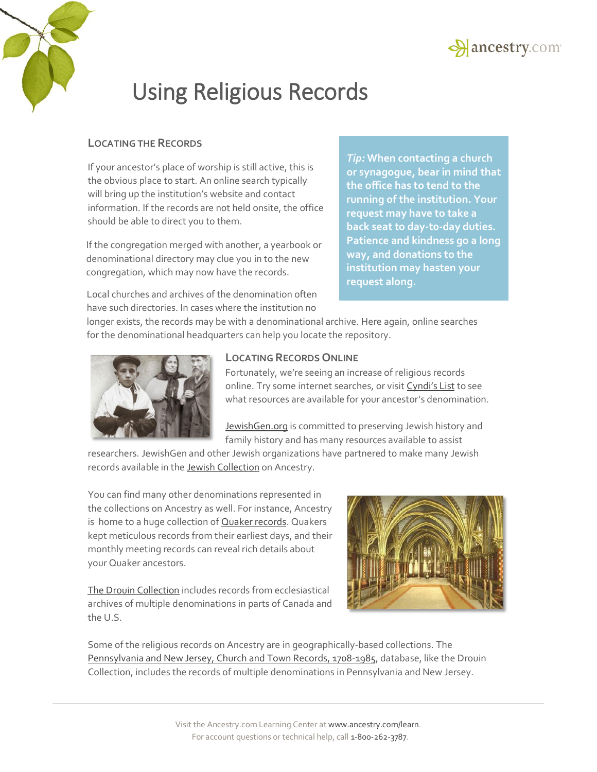



## **LOCATING THE RECORDS**

If your ancestor's place of worship is still active, this is the obvious place to start. An online search typically will bring up the institution's website and contact information. If the records are not held onsite, the office should be able to direct you to them.

If the congregation merged with another, a yearbook or denominational directory may clue you in to the new congregation, which may now have the records.

*Tip:* **When contacting a church or synagogue, bear in mind that the office has to tend to the running of the institution. Your request may have to take a back seat to day-t0-day duties. Patience and kindness go a long way, and donations to the institution may hasten your request along.**

Local churches and archives of the denomination often have such directories. In cases where the institution no

longer exists, the records may be with a denominational archive. Here again, online searches for the denominational headquarters can help you locate the repository.



### **LOCATING RECORDS ONLINE**

Fortunately, we're seeing an increase of religious records online. Try some internet searches, or vis[it Cyndi](http://cyndislist.com/religion/)'s List to see what resources are available for your ancestor's denomination.

[JewishGen.org](http://www.jewishgen.org/) is committed to preserving Jewish history and family history and has many resources available to assist

researchers. JewishGen and other Jewish organizations have partnered to make many Jewish records available in th[e Jewish Collection o](http://www.ancestry.com/jewishgen-all?o_iid=48016&o_lid=48016&o_sch=Web+Property)n Ancestry.

You can find many other denominations represented in the collections on Ancestry as well. For instance, Ancestry is home to a hug[e collection of Qu](http://www.ancestry.com/cs/us/quakers)aker records. Quakers kept meticulous records from their earliest days, and their monthly meeting records can reveal rich details about your Quaker ancestors.

[The Drouin Collection](http://www.ancestry.com/drouin) includes records from ecclesiastical archives of multiple denominations in parts of Canada and the U.S.



Some of the religious records on Ancestry are in geographically-based collections. The [Pennsylvania and New Jersey, Church and Town Records, 1708-1985,](http://search.ancestry.com/search/db.aspx?dbid=2451) database, like the Drouin Collection, includes the records of multiple denominations in Pennsylvania and New Jersey.